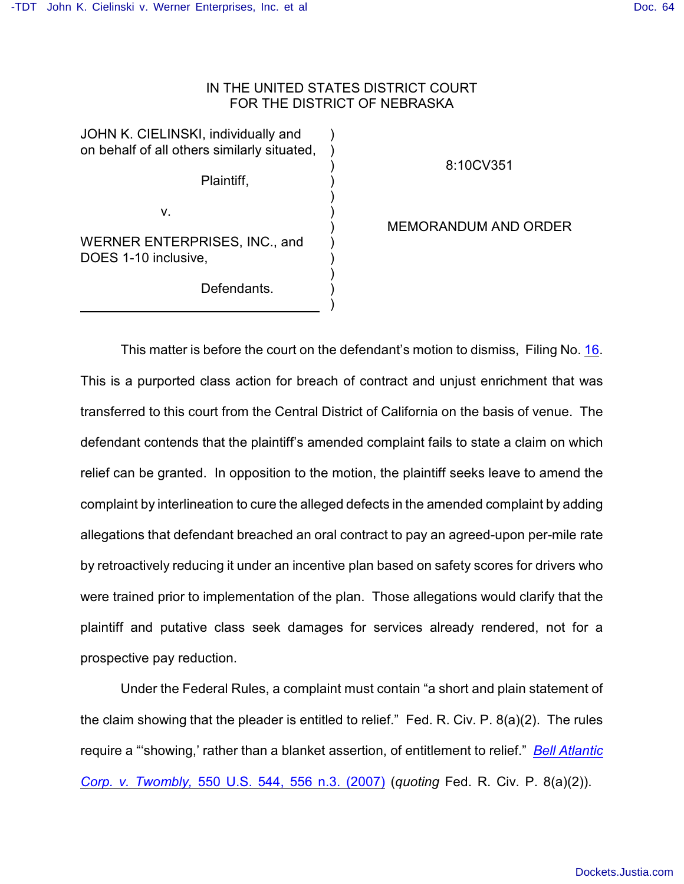## IN THE UNITED STATES DISTRICT COURT FOR THE DISTRICT OF NEBRASKA

) ) ) ) ) ) ) ) ) ) ) )

JOHN K. CIELINSKI, individually and on behalf of all others similarly situated,

Plaintiff,

v.

WERNER ENTERPRISES, INC., and DOES 1-10 inclusive,

Defendants.

8:10CV351

MEMORANDUM AND ORDER

This matter is before the court on the defendant's motion to dismiss, Filing No. [16](http://ecf.ned.uscourts.gov/doc1/11302104618). This is a purported class action for breach of contract and unjust enrichment that was transferred to this court from the Central District of California on the basis of venue. The defendant contends that the plaintiff's amended complaint fails to state a claim on which relief can be granted. In opposition to the motion, the plaintiff seeks leave to amend the complaint by interlineation to cure the alleged defects in the amended complaint by adding allegations that defendant breached an oral contract to pay an agreed-upon per-mile rate by retroactively reducing it under an incentive plan based on safety scores for drivers who were trained prior to implementation of the plan. Those allegations would clarify that the plaintiff and putative class seek damages for services already rendered, not for a prospective pay reduction.

Under the Federal Rules, a complaint must contain "a short and plain statement of the claim showing that the pleader is entitled to relief." Fed. R. Civ. P. 8(a)(2). The rules require a "'showing,' rather than a blanket assertion, of entitlement to relief." *[Bell Atlantic](http://www.westlaw.com/find/default.wl?rs=CLWP3.0&vr=2.0&cite=550+U.S.+544) Corp. v. Twombly,* [550 U.S. 544, 556 n.3. \(2007\)](http://www.westlaw.com/find/default.wl?rs=CLWP3.0&vr=2.0&cite=550+U.S.+544) (*quoting* Fed. R. Civ. P. 8(a)(2)).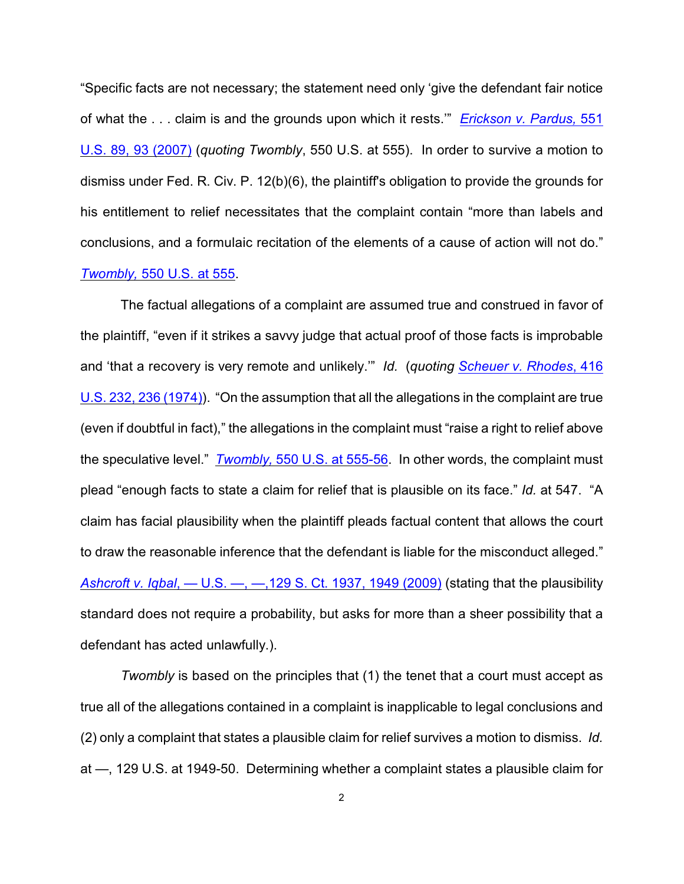"Specific facts are not necessary; the statement need only 'give the defendant fair notice of what the . . . claim is and the grounds upon which it rests.'" *[Erickson v. Pardus,](http://www.westlaw.com/find/default.wl?rs=CLWP3.0&vr=2.0&cite=551+U.S.+89)* 551 [U.S. 89, 93 \(2007\)](http://www.westlaw.com/find/default.wl?rs=CLWP3.0&vr=2.0&cite=551+U.S.+89) (*quoting Twombly*, 550 U.S. at 555). In order to survive a motion to dismiss under Fed. R. Civ. P. 12(b)(6), the plaintiff's obligation to provide the grounds for his entitlement to relief necessitates that the complaint contain "more than labels and conclusions, and a formulaic recitation of the elements of a cause of action will not do." *Twombly,* [550 U.S. at 555](http://www.westlaw.com/find/default.wl?rs=CLWP3.0&vr=2.0&cite=550+U.S.+555).

The factual allegations of a complaint are assumed true and construed in favor of the plaintiff, "even if it strikes a savvy judge that actual proof of those facts is improbable and 'that a recovery is very remote and unlikely.'" *Id.* (*quoting [Scheuer v. Rhodes](http://www.westlaw.com/find/default.wl?rs=CLWP3.0&vr=2.0&cite=416+U.S.+232)*, 416 [U.S. 232, 236 \(1974\)](http://www.westlaw.com/find/default.wl?rs=CLWP3.0&vr=2.0&cite=416+U.S.+232)). "On the assumption that all the allegations in the complaint are true (even if doubtful in fact)," the allegations in the complaint must "raise a right to relief above the speculative level." *Twombly,* [550 U.S. at 555-56](http://www.westlaw.com/find/default.wl?rs=CLWP3.0&vr=2.0&cite=550+U.S.+555). In other words, the complaint must plead "enough facts to state a claim for relief that is plausible on its face." *Id.* at 547. "A claim has facial plausibility when the plaintiff pleads factual content that allows the court to draw the reasonable inference that the defendant is liable for the misconduct alleged." *Ashcroft v. Iqbal*[, — U.S. —, —,129 S.](http://www.westlaw.com/find/default.wl?rs=CLWP3.0&vr=2.0&cite=129+S.Ct.+1937) Ct. 1937, 1949 (2009) (stating that the plausibility standard does not require a probability, but asks for more than a sheer possibility that a defendant has acted unlawfully.).

*Twombly* is based on the principles that (1) the tenet that a court must accept as true all of the allegations contained in a complaint is inapplicable to legal conclusions and (2) only a complaint that states a plausible claim for relief survives a motion to dismiss. *Id.* at —, 129 U.S. at 1949-50. Determining whether a complaint states a plausible claim for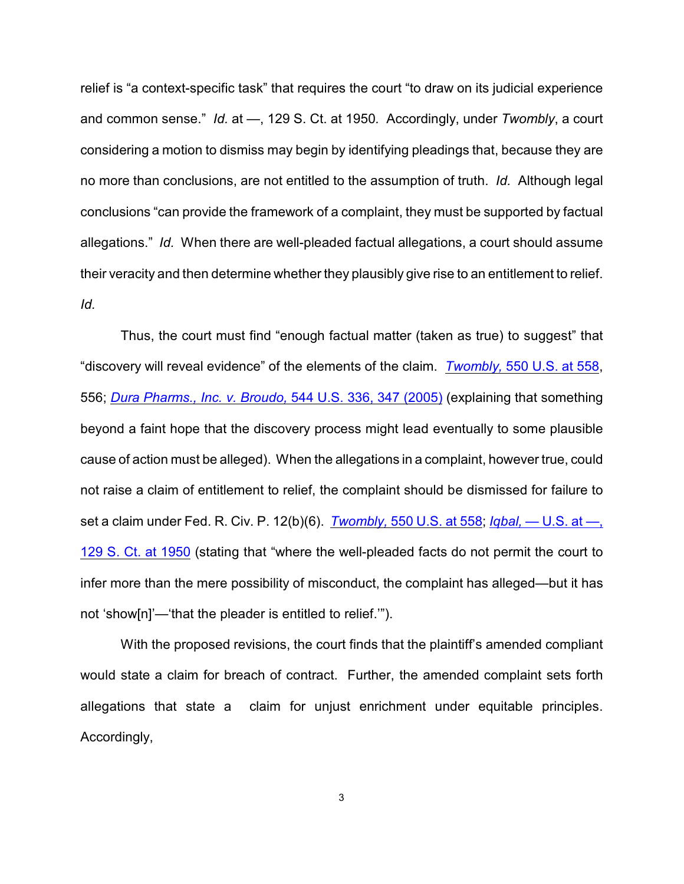relief is "a context-specific task" that requires the court "to draw on its judicial experience and common sense." *Id.* at —, 129 S. Ct. at 1950*.* Accordingly, under *Twombly*, a court considering a motion to dismiss may begin by identifying pleadings that, because they are no more than conclusions, are not entitled to the assumption of truth. *Id.* Although legal conclusions "can provide the framework of a complaint, they must be supported by factual allegations." *Id.* When there are well-pleaded factual allegations, a court should assume their veracity and then determine whether they plausibly give rise to an entitlement to relief. *Id.*

Thus, the court must find "enough factual matter (taken as true) to suggest" that "discovery will reveal evidence" of the elements of the claim. *Twombly,* [550 U.S. at 558](http://www.westlaw.com/find/default.wl?rs=CLWP3.0&vr=2.0&cite=550+U.S.+558), 556; *[Dura Pharms., Inc. v. Broudo,](http://www.westlaw.com/find/default.wl?rs=CLWP3.0&vr=2.0&cite=544+U.S.+336)* 544 U.S. 336, 347 (2005) (explaining that something beyond a faint hope that the discovery process might lead eventually to some plausible cause of action must be alleged). When the allegations in a complaint, however true, could not raise a claim of entitlement to relief, the complaint should be dismissed for failure to set a claim under Fed. R. Civ. P. 12(b)(6). *Twombly,* [550 U.S. at 558](http://www.westlaw.com/find/default.wl?rs=CLWP3.0&vr=2.0&cite=550+U.S.+558); *Iqbal,* [— U.S. at —,](http://www.westlaw.com/find/default.wl?rs=CLWP3.0&vr=2.0&cite=129+S.Ct.+1950) [129 S. Ct. at 1950](http://www.westlaw.com/find/default.wl?rs=CLWP3.0&vr=2.0&cite=129+S.Ct.+1950) (stating that "where the well-pleaded facts do not permit the court to infer more than the mere possibility of misconduct, the complaint has alleged—but it has not 'show[n]'—'that the pleader is entitled to relief.'").

With the proposed revisions, the court finds that the plaintiff's amended compliant would state a claim for breach of contract. Further, the amended complaint sets forth allegations that state a claim for unjust enrichment under equitable principles. Accordingly,

3